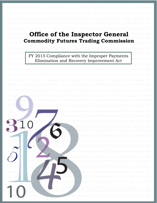# **Office of the Inspector General Commodity Futures Trading Commission**

### FY 2015 Compliance with the Improper Payments Elimination and Recovery Improvement Act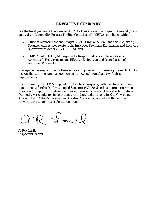#### **EXECUTIVE SUMMARY**

For the fiscal year ended September 30, 2015, the Office of the Inspector General (OIG) audited the Commodity Futures Trading Commission's (CFTC) compliance with:

- Office of Management and Budget (OMB) Circular A-136, *Financial Reporting Requirements* as they relate to the Improper Payments Elimination and Recovery Improvement Act of 2012 (IPERIA); and
- OMB Circular A-123, *Management's Responsibility for Internal Control*, Appendix C, *Requirements for Effective Estimation and Remediation of Improper Payments*.

Management is responsible for the agency's compliance with these requirements. OIG's responsibility is to express an opinion on the agency's compliance with these requirements.

In our opinion, the CFTC complied, in all material respects, with the aforementioned requirements for the fiscal year ended September 30, 2015 and its improper payment assertion for reporting made in their respective agency financial report is fairly stated. Our audit was conducted in accordance with the standards contained in Government Accountability Office's Government Auditing Standards. We believe that our audit provides a reasonable basis for our opinion.

aP Lai

A. Roy Lavik Inspector General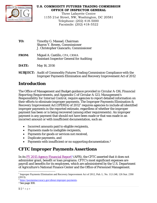

#### **U.S. COMMODITY FUTURES TRADING COMMISSION OFFICE OF INSPECTOR GENERAL**

Three Lafayette Centre 1155 21st Street, NW, Washington, DC 20581 Telephone: (202) 418-5000 Facsimile: (202) 418-5522

- **TO:** Timothy G. Massad, Chairman Sharon Y. Bowen, Commissioner J. Christopher Giancarlo, Commissioner
- **FROM:** Miguel A. Castillo, CPA, CRMA Assistant Inspector General for Auditing
- **DATE:** May 16, 2016
- **SUBJECT:** Audit of Commodity Futures Trading Commission Compliance with the Improper Payments Elimination and Recovery Improvement Act of 2012

### **Introduction**

The Office of Management and Budget guidance provided in Circular A-136, *Financial Reporting Requirements*, and Appendix C of Circular A-123, *Management's Responsibility for Internal Control*, require agencies to report detailed information on their efforts to eliminate improper payments. The Improper Payments Elimination & Recovery Improvement Act (IPERIA) of 2012<sup>1</sup> requires agencies to include all identified improper payments in the reported estimate, regardless of whether the improper payment has been or is being recovered (among other requirements). An improper payment is any payment that should not have been made or that was made in an incorrect amount or with insufficient documentation, such as:

- Incorrect amounts paid to eligible recipients,
- Payments made to ineligible recipients,
- Payments for goods or services not received,
- Duplicate payments, and
- Payments with insufficient or no supporting documentation.<sup>2</sup>

### **CFTC Improper Payments Assertions**

In its FY 2015 Agency Financial Report<sup>3</sup> (AFR), the CFTC asserted that it does not administer grant, benefit or loan programs. CFTC's most significant expenses are payroll and benefits for its employees, which are administered by the U.S. Department of Agriculture's National Finance Center and the Office of Personnel Management.

 $\overline{a}$ 

<sup>&</sup>lt;sup>1</sup> Improper Payments Elimination and Recovery Improvement Act of 2012, Pub. L. No. 112-248, 126 Stat. 2390 (2013).

 $\lambda^2$  https://paymentaccuracy.gov/about-improper-payments.

<sup>3</sup> See page 108.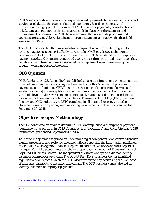CFTC's most significant non-payroll expenses are its payments to vendors for goods and services used during the course of normal operations. Based on the results of transaction testing applied to a sample of FY 2015 vendor payments, consideration of risk factors, and reliance on the internal controls in place over the payment and disbursement processes, the CFTC has determined that none of its programs and activities are susceptible to significant improper payments at or above the threshold levels set by OMB.

The CFTC also asserted that implementing a payment recapture audit program for contract payments is not cost effective and notified OMB of this determination in September 2015. In making this determination, the CFTC considered its low improper payment rate based on testing conducted over the past three years and determined that benefits or recaptured amounts associated with implementing and overseeing the program would not exceed the costs.

# **OIG Opinion**

OMB Guidance A-123, Appendix C, established an agency's improper payment reporting threshold as annual erroneous payments exceeding both 2.5 percent of program payments and \$10 million. CFTC's assertion that none of its programs [payroll and vendor payments] are susceptible to significant improper payments at or above the threshold levels set by OMB is in our opinion fairly stated. Based on independent tests conducted by the agency's public accountants, Treasury's Do Not Pay (DNP) Business Center,4 and OIG auditors, the CFTC complied, in all material respects, with the aforementioned improper payment reporting requirements for the fiscal year ended September 30, 2015.

# **Objective, Scope, Methodology**

The OIG conducted an audit to determine CFTC's compliance with improper payment requirements, as set forth in OMB Circular A-123, Appendix C; and OMB Circular A-136 for the fiscal year ended September 30, 2015.

To meet our objective, we gained an understanding of component-level controls through inquiry procedures and reviewed documentation supporting the information published in CFTC's FY 2015 Agency Financial Report. In addition, we reviewed work papers of the agency's public accountants and the improper payment report of Treasury's Do Not Pay (DNP) Business Center. The independent auditors' work papers did not identify instances of improper payments. The Do Not Pay (DNP) Business Center identified high-risk vendor records which the CFTC deactivated thereby decreasing the likelihood of improper payments to deceased individuals. The DNP business center also did not identify instances of improper payments.

 $\overline{a}$ <sup>4</sup> https://www.fiscal.treasury.gov/fsprograms/fs\_donotpaybc.htm.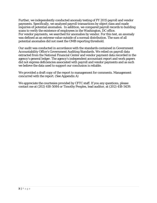Further, we independently conducted anomaly testing of FY 2015 payroll and vendor payments. Specifically, we analyzed payroll transactions by object class and made inquiries of potential anomalies. In addition, we compared payroll records to building scans to verify the existence of employees in the Washington, DC office. For vendor payments, we searched for anomalies by vendor. For this test, an anomaly was defined as an extreme value outside of a normal distribution. The sum of all potential anomalies did not meet the OMB reporting threshold.

Our audit was conducted in accordance with the standards contained in Government Accountability Office's Government Auditing Standards. We relied on payroll data extracted from the National Financial Center and vendor payment data recorded in the agency's general ledger. The agency's independent accountant report and work papers did not express deficiencies associated with payroll and vendor payments and as such we believe the data used to support our conclusion is reliable.

We provided a draft copy of the report to management for comments. Management concurred with the report. (See Appendix A)

We appreciate the courtesies provided by CFTC staff. If you any questions, please contact me at (202) 418-5084 or Timothy Peoples, lead auditor, at (202) 418-5439.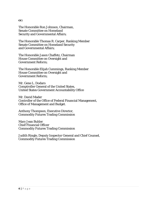**cc:** 

The Honorable Ron Johnson, Chairman, Senate Committee on Homeland Security and Governmental Affairs;

The Honorable Thomas R. Carper, Ranking Member Senate Committee on Homeland Security and Governmental Affairs;

The Honorable Jason Chaffetz, Chairman House Committee on Oversight and Government Reform;

The Honorable Elijah Cummings, Ranking Member House Committee on Oversight and Government Reform;

Mr. Gene L. Dodaro Comptroller General of the United States, United States Government Accountability Office

Mr. David Mader Controller of the Office of Federal Financial Management, Office of Management and Budget.

Anthony Thompson, Executive Director, Commodity Futures Trading Commission

Mary Jean Buhler Chief Financial Officer Commodity Futures Trading Commission

Judith Ringle, Deputy Inspector General and Chief Counsel, Commodity Futures Trading Commission